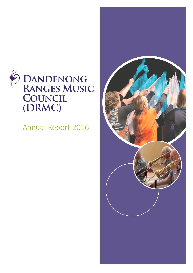

Annual Report 2016

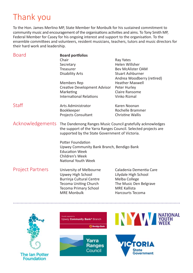# Thank you

To the Hon. James Merlino MP, State Member for Monbulk for his sustained commitment to community music and encouragement of the organisations activities and aims. To Tony Smith MP, Federal Member for Casey for his ongoing interest and support to the organisation. To the ensemble committees and volunteers, resident musicians, teachers, tutors and music directors for their hard work and leadership.

| <b>Board</b>            | <b>Board portfolios</b><br>Chair                                                                                                                                               | Ray Yates                                                                                                                                    |
|-------------------------|--------------------------------------------------------------------------------------------------------------------------------------------------------------------------------|----------------------------------------------------------------------------------------------------------------------------------------------|
|                         | Secretary                                                                                                                                                                      | Helen Willsher                                                                                                                               |
|                         | Treasurer                                                                                                                                                                      | <b>Bev McAlister OAM</b>                                                                                                                     |
|                         | Disability Arts                                                                                                                                                                | <b>Stuart Ashburner</b>                                                                                                                      |
|                         |                                                                                                                                                                                | Andrea Woodberry (retired)                                                                                                                   |
|                         | Members Rep                                                                                                                                                                    | <b>Heather Maxwell</b>                                                                                                                       |
|                         | Creative Development Advisor                                                                                                                                                   | Peter Hurley                                                                                                                                 |
|                         | Marketing                                                                                                                                                                      | Claire Ransome                                                                                                                               |
|                         | <b>International Relations</b>                                                                                                                                                 | Vinko Rizmal                                                                                                                                 |
| Staff                   | Arts Administrator                                                                                                                                                             | Karen Noonan                                                                                                                                 |
|                         | Bookkeeper                                                                                                                                                                     | Rochelle Brammer                                                                                                                             |
|                         | <b>Projects Consultant</b>                                                                                                                                                     | <b>Christine Wallis</b>                                                                                                                      |
|                         |                                                                                                                                                                                |                                                                                                                                              |
| Acknowledgements        | The Dandenong Ranges Music Council gratefully acknowledges<br>the support of the Yarra Ranges Council. Selected projects are<br>supported by the State Government of Victoria. |                                                                                                                                              |
|                         | Potter Foundation<br>Upwey Community Bank Branch, Bendigo Bank<br><b>Education Week</b><br>Children's Week<br>National Youth Week                                              |                                                                                                                                              |
| <b>Project Partners</b> | University of Melbourne<br>Upwey High School<br>Burrinja Cultural Centre<br><b>Tecoma Uniting Church</b><br><b>Tecoma Primary School</b><br><b>MRE Monbulk</b>                 | Caladenia Dementia Care<br>Lilydale High School<br>Melba College<br>The Music Den Belgrave<br><b>MRE Kallista</b><br><b>Harcourts Tecoma</b> |
|                         |                                                                                                                                                                                |                                                                                                                                              |



. . . . . . . . .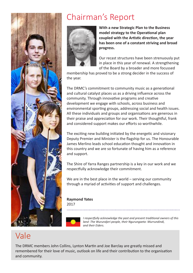

# Chairman's Report



**With a new Strategic Plan to the Business model strategy to the Operational plan coupled with the Artistic direction, the year has been one of a constant striving and broad progress.** 

Our recast structures have been strenuously put in place in this year of renewal. A strengthening of the Board by a broader and more focussed

membership has proved to be a strong decider in the success of the year.

The DRMC's commitment to community music as a generational and cultural catalyst places us as a driving influence across the community. Through innovative programs and creative development we engage with schools, across business and environmental sporting groups, addressing social and health issues. All these individuals and groups and organisations are generous in their praise and appreciation for our work. Their thoughtful, frank and considered support makes our efforts so worthwhile.

The exciting new building initiated by the energetic and visionary Deputy Premier and Minister is the flagship for us. The Honourable James Merlino leads school education thought and innovation in this country and we are so fortunate of having him as a reference and support.

The Shire of Yarra Ranges partnership is a key in our work and we respectfully acknowledge their commitment.

We are in the best place in the world – serving our community through a myriad of activities of support and challenges.

**Raymond Yates** 

2017



*I respectfully acknowledge the past and present traditional owners of this land -The Wurundjeri people, their Ngurungaeta- Murrundindi, and their Eiders.*

# Vale

The DRMC members John Collins, Lynton Martin and Joe Barclay are greatly missed and remembered for their love of music, outlook on life and their contribution to the organisation and community.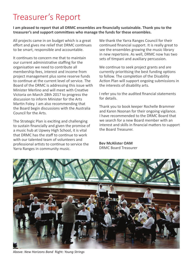# Treasurer's Report

**I am pleased to report that all DRMC ensembles are financially sustainable. Thank you to the treasurer's and support committees who manage the funds for these ensembles.**

All projects came in on budget which is a great effort and gives me relief that DRMC continues to be smart, responsible and accountable.

It continues to concern me that to maintain our current administrative staffing for the organisation we need to contribute all membership fees, interest and income from project management plus some reserve funds to continue at the current level of service. The Board of the DRMC is addressing this issue with Minister Merlino and will meet with Creative Victoria on March 28th 2017 to progress the discussion to inform Minister for the Arts Martin Foley. I am also recommending that the Board begin discussions with the Australia Council for the Arts.

The Strategic Plan is exciting and challenging to sustain financially and given the promise of a music hub at Upwey High School, it is vital that DRMC has the staff to continue to work with our talented team of volunteers and professional artists to continue to service the Yarra Ranges in community music.

We thank the Yarra Ranges Council for their continued financial support. It is really great to see the ensembles growing the music library in new repertoire. As well, DRMC now has two sets of timpani and auxiliary percussion.

We continue to seek project grants and are currently prioritising the best funding options to follow. The completion of the Disability Action Plan will support ongoing submissions in the interests of disability arts.

I refer you to the audited financial statements for details.

Thank you to book keeper Rochelle Brammer and Karen Noonan for their ongoing vigilance. I have recommended to the DRMC Board that we search for a new Board member with an interest and skills in financial matters to support the Board Treasurer.

**Bev McAlister OAM** DRMC Board Treasurer



Above: *New Horizons Band* Right: *Young Strings*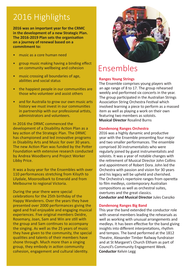# 2016 Highlights

**2016 was an important year for the CRMC in the development of a new Strategic Plan. The 2016-2019 Plan sets the organisation on a journey of renewal based on a commitment to:**

- music as a core human need
- group music making having a binding effect on community wellbeing and cohesion
- music crossing all boundaries of age, abilities and social status
- the happiest people in our communities are those who volunteer and assist others
- and for Australia to grow our own music arts history we must invest in our communities in partnership with our professional artists, administrators and volunteers.

In 2016 the DRMC commenced the development of a Disability Action Plan as a key action of the Strategic Plan. The DRMC has championed and led innovative programs in Disability Arts and Music for over 30 years. The new Action Plan was funded by the Potter Foundation with extensive research conducted by Andrea Woodberry and Project Worker Libby Price.

It was a busy year for the Ensembles with over 110 performances stretching from Kilsyth to Lilydale, Mooroolbark to Emerald and from Melbourne to regional Victoria.

During the year there were special celebrations for the 25th birthday of the Happy Wanderers. Over the years they have presented over 2000 performances giving the aged and frail enjoyable and engaging musical experiences. Five original members Deidre, Rosemary, Joan, Sam and Win are still with the group and Sam continues to accompany the singing. As well as the 25 years of music they have given to the community, the special qualities and talents of their members have shone through. Much more than a singing group, they embody in action community cohesion, engagement and cultural identity.



## Ensembles

### **Ranges Young Strings**

The Ensemble comprises young players with an age range of 8 to 17. The group rehearsed weekly and performed six concerts in the year. The group participated in the Australian Strings Association String Orchestra Festival which involved learning a piece to perform as a massed item as well as playing a work on their own featuring two members as soloists. **Musical Director** Rosalind Burns

#### **Dandenong Ranges Orchestra**

2016 was a highly dynamic and productive year with the Ensemble presenting four major and two smaller performances. The ensemble comprised 30 instrumentalists who were regularly joined by guest instrumentalists and soloists. It was a year of notable changes with the retirement of Musical Director John Collins and appointment of Robert Dora. John led the Orchestra with passion and vision for 30 years and his legacy will be upheld and cherished. The Orchestra's repertoire ranges from operetta to film medleys, contemporary Australian compositions as well as orchestral suites, overtures and the great classics. **Conductor and Musical Director** Jules Cseszko

#### **Dandenong Ranges Big Band**

This year the band extended the conductor role with several members leading the rehearsals as well as working with unusual arrangements and medleys. It has been effective for the band giving insights into different interpretations, rhythm and tempos. The band performed at the 1812 Theatre, Alexander Timber Railway fundraiser and at St Margaret's Church Eltham as part of Council's Community Engagement Week. **Conductor** Kelvin Legg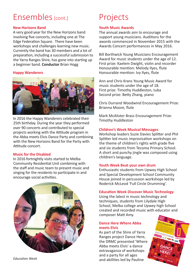# Ensembles (cont.)

### **New Horizons Band**

A very good year for the New Horizons band involving five concerts, including one at The Edge Federation Square. There have been workshops and challenges learning new music. Currently the band has 30 members and a lot of preparation, including a successful submission to the Yarra Ranges Shire, has gone into starting up a beginner band. **Conductor** Brian Hogg

### **Happy Wanderers**



In 2016 the Happy Wanderers celebrated their 25th birthday. During the year they performed over 90 concerts and contributed to special projects working with the Attitude program in the Abba meets Elvis Dance Party and combining with the New Horizons Band for the Party with Attitude concert.

### **Music for the Disabled**

In 2016 fortnightly visits started to Melba Community Residential Unit combining with the staff and music team to present music and singing for the residents to participate in and encourage social activities.



*Education Week*

# Projects

### **Youth Music Awards**

The annual awards aim to encourage and support young musicians. Auditions for the awards commenced in November 2015 with the Awards Concert performances in May 2016.

Bill Borthwick Young Musicians Encouragement Award for music students under the age of 12. First prize: Kaelem Dwight, violin and recorder Honourable mention: Melody Ilyes, flute Honourable mention: Ivy Ilyes, flute

Ann and Chris Krans Young Music Award for music students under the age of 18. First prize: Timothy Huddleston, tuba Second prize: Betty Zhang, piano

Chris Durrand Woodwind Encouragement Prize: Brianna Moore, flute

Mark McAlister Brass Encouragement Prize: Timothy Huddleston

### **Children's Week Musical Messages**

Workshop leaders Suzie Davies Splitter and Phil Splitter led music improvisation workshops on the theme of children's rights with grade five and six students from Tecoma Primary School. A short and punchy jingle was composed using children's language.

### **Youth Week Beat your own drum**

Enthusiastic students from Upwey High School and Special Development School Community House joined in percussion workshops led by Roderick McLeod 'Full Circle Drumming'.

### **Education Week Discover Music Technology**

Using the latest in music technology and techniques, students from Lilydale High School, Melba college and Upwey high School created and recorded music with educator and composer Matt Amy.

### **Dance Here Where Abba meets Elvis**

As part of the Shire of Yarra Ranges project Dance Here, the DRMC presented 'Where Abba meets Elvis' a dance extravaganza of workshops and a party for all ages and abilities led by Pauline

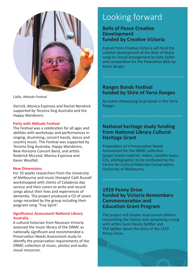

*Callie, Attitude Festival*

Derrick, Monica Espinoza and Rachel Nendrick supported by Tecoma Sing Australia and the Happy Wanderers.

#### **Party with Attitude Festival**

The Festival was a celebration for all ages and abilities with workshops and performances in singing, drumming, concert bands, dance and country music. The Festival was supported by Tecoma Sing Australia, Happy Wanderers, New Horizons Concert Band, and artists Roderick McLeod, Monica Espinoza and Karen Woolfall.

#### **New Dimensions**

For 10 weeks researchers from the University of Melbourne and music therapist Cath Russell workshopped with clients of Caladenia day service and their carers to write and record songs about their lives and experiences of dementia. The project produced a CD of seven songs recorded by the group including their poignant song 'True Spirit'.

#### **Significance Assessment National Library Australia**

A cultural historian from Museum Victoria assessed the music library of the DRMC as nationally significant and recommended a Preservation Needs Assessment study to identify the preservation requirements of the DRMC collection of music, photos and audio visual resources.

# Looking forward

## **Bells of Peace Creative Development funded by Creative Victoria**

A grant from Creative Victoria will fund the creative development of the Bells of Peace song for choral arrangement by Kate Sadler and composition for the Federation Bells by Karen Berger.

## **Ranges Bands Festival funded by Shire of Yarra Ranges**

An event showcasing local bands in the Yarra Ranges.

## **National heritage study funding from National Library Cultural Heritage Grant**

Preparation of a Preservation Needs Assessment for the DRMC collection (paper based material, videos, cassette tapes, CDs, photographs), to be conducted by the Centre for Cultural Materials Conservation, University of Melbourne.

## **1919 Penny Drive funded by Victoria Remembers Commemoration and Education Grant Program**

The project will involve local school children researching the history and composing a song with artists Suzie Davies Splitter and Phil Splitter about the story of the 1919 Penny Drive.